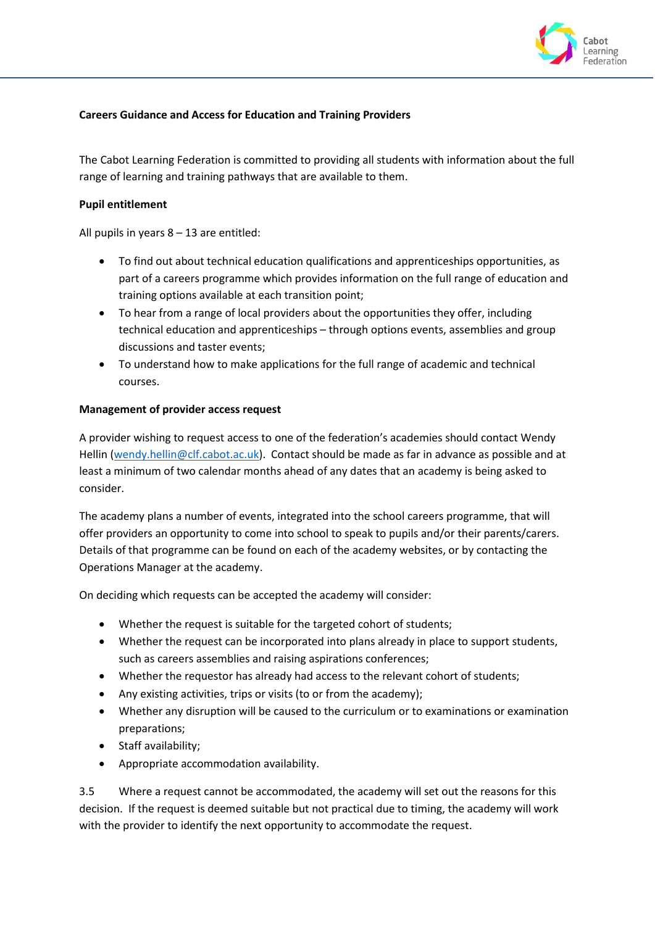

## **Careers Guidance and Access for Education and Training Providers**

The Cabot Learning Federation is committed to providing all students with information about the full range of learning and training pathways that are available to them.

## **Pupil entitlement**

All pupils in years 8 – 13 are entitled:

- To find out about technical education qualifications and apprenticeships opportunities, as part of a careers programme which provides information on the full range of education and training options available at each transition point;
- To hear from a range of local providers about the opportunities they offer, including technical education and apprenticeships – through options events, assemblies and group discussions and taster events;
- To understand how to make applications for the full range of academic and technical courses.

## **Management of provider access request**

A provider wishing to request access to one of the federation's academies should contact Wendy Hellin [\(wendy.hellin@clf.cabot.ac.uk\)](mailto:wendy.hellin@clf.cabot.ac.uk). Contact should be made as far in advance as possible and at least a minimum of two calendar months ahead of any dates that an academy is being asked to consider.

The academy plans a number of events, integrated into the school careers programme, that will offer providers an opportunity to come into school to speak to pupils and/or their parents/carers. Details of that programme can be found on each of the academy websites, or by contacting the Operations Manager at the academy.

On deciding which requests can be accepted the academy will consider:

- Whether the request is suitable for the targeted cohort of students;
- Whether the request can be incorporated into plans already in place to support students, such as careers assemblies and raising aspirations conferences;
- Whether the requestor has already had access to the relevant cohort of students;
- Any existing activities, trips or visits (to or from the academy);
- Whether any disruption will be caused to the curriculum or to examinations or examination preparations;
- Staff availability;
- Appropriate accommodation availability.

3.5 Where a request cannot be accommodated, the academy will set out the reasons for this decision. If the request is deemed suitable but not practical due to timing, the academy will work with the provider to identify the next opportunity to accommodate the request.